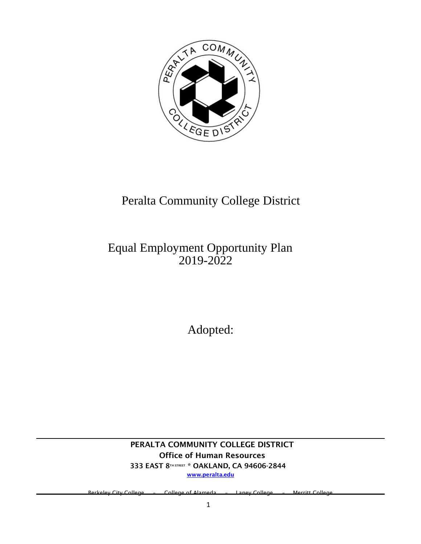

# Peralta Community College District

# Equal Employment Opportunity Plan 2019-2022

Adopted:

PERALTA COMMUNITY COLLEGE DISTRICT Office of Human Resources 333 EAST 8TH STREET \* OAKLAND, CA 94606-2844 www.peralta.edu

eley City College – College of Alameda – Laney College – Merritt College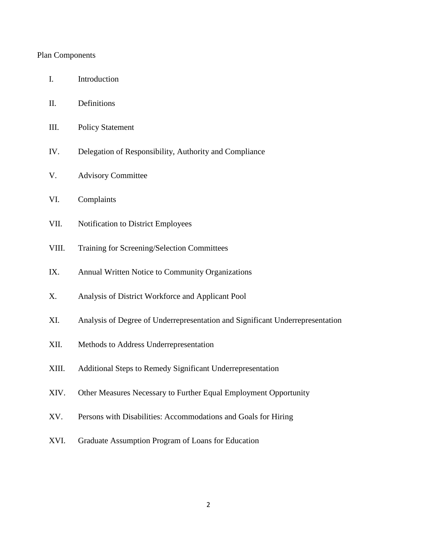#### Plan Components

- II. Definitions
- III. Policy Statement
- IV. Delegation of Responsibility, Authority and Compliance
- V. Advisory Committee
- VI. Complaints
- VII. Notification to District Employees
- VIII. Training for Screening/Selection Committees
- IX. Annual Written Notice to Community Organizations
- X. Analysis of District Workforce and Applicant Pool
- XI. Analysis of Degree of Underrepresentation and Significant Underrepresentation
- XII. Methods to Address Underrepresentation
- XIII. Additional Steps to Remedy Significant Underrepresentation
- XIV. Other Measures Necessary to Further Equal Employment Opportunity
- XV. Persons with Disabilities: Accommodations and Goals for Hiring
- XVI. Graduate Assumption Program of Loans for Education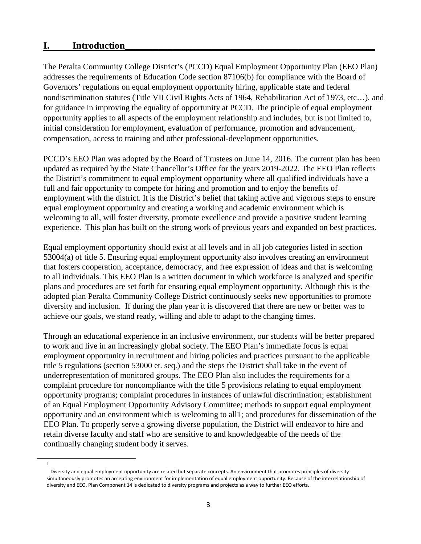#### **I. Introduction\_\_\_\_\_\_\_\_\_\_\_\_\_\_\_\_\_\_\_\_\_\_\_\_\_\_\_\_\_\_\_\_\_\_\_\_\_\_\_\_\_\_\_\_\_\_\_\_\_\_\_\_**

1

The Peralta Community College District's (PCCD) Equal Employment Opportunity Plan (EEO Plan) addresses the requirements of Education Code section 87106(b) for compliance with the Board of Governors' regulations on equal employment opportunity hiring, applicable state and federal nondiscrimination statutes (Title VII Civil Rights Acts of 1964, Rehabilitation Act of 1973, etc…), and for guidance in improving the equality of opportunity at PCCD. The principle of equal employment opportunity applies to all aspects of the employment relationship and includes, but is not limited to, initial consideration for employment, evaluation of performance, promotion and advancement, compensation, access to training and other professional-development opportunities.

PCCD's EEO Plan was adopted by the Board of Trustees on June 14, 2016. The current plan has been updated as required by the State Chancellor's Office for the years 2019-2022. The EEO Plan reflects the District's commitment to equal employment opportunity where all qualified individuals have a full and fair opportunity to compete for hiring and promotion and to enjoy the benefits of employment with the district. It is the District's belief that taking active and vigorous steps to ensure equal employment opportunity and creating a working and academic environment which is welcoming to all, will foster diversity, promote excellence and provide a positive student learning experience. This plan has built on the strong work of previous years and expanded on best practices.

Equal employment opportunity should exist at all levels and in all job categories listed in section 53004(a) of title 5. Ensuring equal employment opportunity also involves creating an environment that fosters cooperation, acceptance, democracy, and free expression of ideas and that is welcoming to all individuals. This EEO Plan is a written document in which workforce is analyzed and specific plans and procedures are set forth for ensuring equal employment opportunity. Although this is the adopted plan Peralta Community College District continuously seeks new opportunities to promote diversity and inclusion. If during the plan year it is discovered that there are new or better was to achieve our goals, we stand ready, willing and able to adapt to the changing times.

Through an educational experience in an inclusive environment, our students will be better prepared to work and live in an increasingly global society. The EEO Plan's immediate focus is equal employment opportunity in recruitment and hiring policies and practices pursuant to the applicable title 5 regulations (section 53000 et. seq.) and the steps the District shall take in the event of underrepresentation of monitored groups. The EEO Plan also includes the requirements for a complaint procedure for noncompliance with the title 5 provisions relating to equal employment opportunity programs; complaint procedures in instances of unlawful discrimination; establishment of an Equal Employment Opportunity Advisory Committee; methods to support equal employment opportunity and an environment which is welcoming to all1; and procedures for dissemination of the EEO Plan. To properly serve a growing diverse population, the District will endeavor to hire and retain diverse faculty and staff who are sensitive to and knowledgeable of the needs of the continually changing student body it serves.

Diversity and equal employment opportunity are related but separate concepts. An environment that promotes principles of diversity simultaneously promotes an accepting environment for implementation of equal employment opportunity. Because of the interrelationship of diversity and EEO, Plan Component 14 is dedicated to diversity programs and projects as a way to further EEO efforts.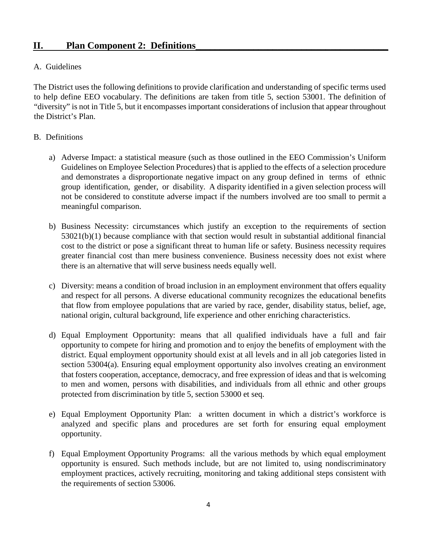## **II.** Plan Component 2: Definitions

#### A. Guidelines

The District uses the following definitions to provide clarification and understanding of specific terms used to help define EEO vocabulary. The definitions are taken from title 5, section 53001. The definition of "diversity" is not in Title 5, but it encompasses important considerations of inclusion that appear throughout the District's Plan.

#### B. Definitions

- a) Adverse Impact: a statistical measure (such as those outlined in the EEO Commission's Uniform Guidelines on Employee Selection Procedures) that is applied to the effects of a selection procedure and demonstrates a disproportionate negative impact on any group defined in terms of ethnic group identification, gender, or disability. A disparity identified in a given selection process will not be considered to constitute adverse impact if the numbers involved are too small to permit a meaningful comparison.
- b) Business Necessity: circumstances which justify an exception to the requirements of section 53021(b)(1) because compliance with that section would result in substantial additional financial cost to the district or pose a significant threat to human life or safety. Business necessity requires greater financial cost than mere business convenience. Business necessity does not exist where there is an alternative that will serve business needs equally well.
- c) Diversity: means a condition of broad inclusion in an employment environment that offers equality and respect for all persons. A diverse educational community recognizes the educational benefits that flow from employee populations that are varied by race, gender, disability status, belief, age, national origin, cultural background, life experience and other enriching characteristics.
- d) Equal Employment Opportunity: means that all qualified individuals have a full and fair opportunity to compete for hiring and promotion and to enjoy the benefits of employment with the district. Equal employment opportunity should exist at all levels and in all job categories listed in section 53004(a). Ensuring equal employment opportunity also involves creating an environment that fosters cooperation, acceptance, democracy, and free expression of ideas and that is welcoming to men and women, persons with disabilities, and individuals from all ethnic and other groups protected from discrimination by title 5, section 53000 et seq.
- e) Equal Employment Opportunity Plan: a written document in which a district's workforce is analyzed and specific plans and procedures are set forth for ensuring equal employment opportunity.
- f) Equal Employment Opportunity Programs: all the various methods by which equal employment opportunity is ensured. Such methods include, but are not limited to, using nondiscriminatory employment practices, actively recruiting, monitoring and taking additional steps consistent with the requirements of section 53006.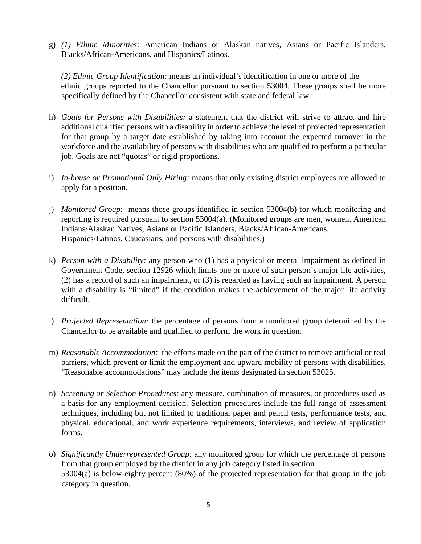g) *(1) Ethnic Minorities:* American Indians or Alaskan natives, Asians or Pacific Islanders, Blacks/African-Americans, and Hispanics/Latinos.

*(2) Ethnic Group Identification:* means an individual's identification in one or more of the ethnic groups reported to the Chancellor pursuant to section 53004. These groups shall be more specifically defined by the Chancellor consistent with state and federal law.

- h) *Goals for Persons with Disabilities:* a statement that the district will strive to attract and hire additional qualified persons with a disability in order to achieve the level of projected representation for that group by a target date established by taking into account the expected turnover in the workforce and the availability of persons with disabilities who are qualified to perform a particular job. Goals are not "quotas" or rigid proportions.
- i) *In-house or Promotional Only Hiring:* means that only existing district employees are allowed to apply for a position.
- j) *Monitored Group:* means those groups identified in section 53004(b) for which monitoring and reporting is required pursuant to section 53004(a). (Monitored groups are men, women, American Indians/Alaskan Natives, Asians or Pacific Islanders, Blacks/African-Americans, Hispanics/Latinos, Caucasians, and persons with disabilities.)
- k) *Person with a Disability:* any person who (1) has a physical or mental impairment as defined in Government Code, section 12926 which limits one or more of such person's major life activities, (2) has a record of such an impairment, or (3) is regarded as having such an impairment. A person with a disability is "limited" if the condition makes the achievement of the major life activity difficult.
- l) *Projected Representation:* the percentage of persons from a monitored group determined by the Chancellor to be available and qualified to perform the work in question.
- m) *Reasonable Accommodation:* the efforts made on the part of the district to remove artificial or real barriers, which prevent or limit the employment and upward mobility of persons with disabilities. "Reasonable accommodations" may include the items designated in section 53025.
- n) *Screening or Selection Procedures:* any measure, combination of measures, or procedures used as a basis for any employment decision. Selection procedures include the full range of assessment techniques, including but not limited to traditional paper and pencil tests, performance tests, and physical, educational, and work experience requirements, interviews, and review of application forms.
- o) *Significantly Underrepresented Group:* any monitored group for which the percentage of persons from that group employed by the district in any job category listed in section 53004(a) is below eighty percent (80%) of the projected representation for that group in the job category in question.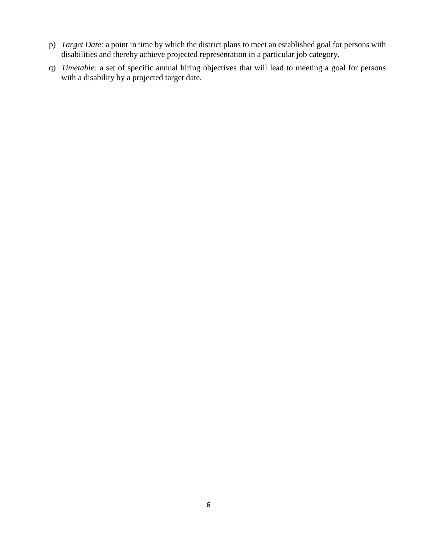- p) *Target Date:* a point in time by which the district plans to meet an established goal for persons with disabilities and thereby achieve projected representation in a particular job category.
- q) *Timetable:* a set of specific annual hiring objectives that will lead to meeting a goal for persons with a disability by a projected target date.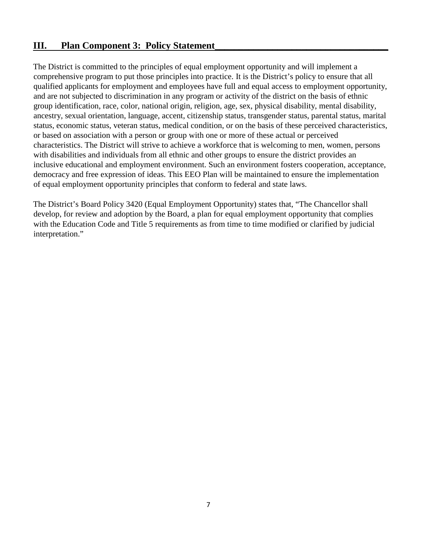## **III.** Plan Component 3: Policy Statement

The District is committed to the principles of equal employment opportunity and will implement a comprehensive program to put those principles into practice. It is the District's policy to ensure that all qualified applicants for employment and employees have full and equal access to employment opportunity, and are not subjected to discrimination in any program or activity of the district on the basis of ethnic group identification, race, color, national origin, religion, age, sex, physical disability, mental disability, ancestry, sexual orientation, language, accent, citizenship status, transgender status, parental status, marital status, economic status, veteran status, medical condition, or on the basis of these perceived characteristics, or based on association with a person or group with one or more of these actual or perceived characteristics. The District will strive to achieve a workforce that is welcoming to men, women, persons with disabilities and individuals from all ethnic and other groups to ensure the district provides an inclusive educational and employment environment. Such an environment fosters cooperation, acceptance, democracy and free expression of ideas. This EEO Plan will be maintained to ensure the implementation of equal employment opportunity principles that conform to federal and state laws.

The District's Board Policy 3420 (Equal Employment Opportunity) states that, "The Chancellor shall develop, for review and adoption by the Board, a plan for equal employment opportunity that complies with the Education Code and Title 5 requirements as from time to time modified or clarified by judicial interpretation."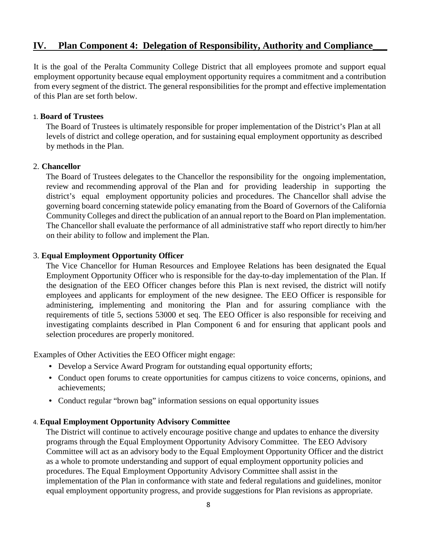## **IV. Plan Component 4: Delegation of Responsibility, Authority and Compliance\_\_\_**

It is the goal of the Peralta Community College District that all employees promote and support equal employment opportunity because equal employment opportunity requires a commitment and a contribution from every segment of the district. The general responsibilities for the prompt and effective implementation of this Plan are set forth below.

#### 1. **Board of Trustees**

The Board of Trustees is ultimately responsible for proper implementation of the District's Plan at all levels of district and college operation, and for sustaining equal employment opportunity as described by methods in the Plan.

#### 2. **Chancellor**

The Board of Trustees delegates to the Chancellor the responsibility for the ongoing implementation, review and recommending approval of the Plan and for providing leadership in supporting the district's equal employment opportunity policies and procedures. The Chancellor shall advise the governing board concerning statewide policy emanating from the Board of Governors of the California Community Colleges and direct the publication of an annual report to the Board on Plan implementation. The Chancellor shall evaluate the performance of all administrative staff who report directly to him/her on their ability to follow and implement the Plan.

#### 3. **Equal Employment Opportunity Officer**

The Vice Chancellor for Human Resources and Employee Relations has been designated the Equal Employment Opportunity Officer who is responsible for the day-to-day implementation of the Plan. If the designation of the EEO Officer changes before this Plan is next revised, the district will notify employees and applicants for employment of the new designee. The EEO Officer is responsible for administering, implementing and monitoring the Plan and for assuring compliance with the requirements of title 5, sections 53000 et seq. The EEO Officer is also responsible for receiving and investigating complaints described in Plan Component 6 and for ensuring that applicant pools and selection procedures are properly monitored.

Examples of Other Activities the EEO Officer might engage:

- Develop a Service Award Program for outstanding equal opportunity efforts;
- Conduct open forums to create opportunities for campus citizens to voice concerns, opinions, and achievements;
- Conduct regular "brown bag" information sessions on equal opportunity issues

#### 4. **Equal Employment Opportunity Advisory Committee**

The District will continue to actively encourage positive change and updates to enhance the diversity programs through the Equal Employment Opportunity Advisory Committee. The EEO Advisory Committee will act as an advisory body to the Equal Employment Opportunity Officer and the district as a whole to promote understanding and support of equal employment opportunity policies and procedures. The Equal Employment Opportunity Advisory Committee shall assist in the implementation of the Plan in conformance with state and federal regulations and guidelines, monitor equal employment opportunity progress, and provide suggestions for Plan revisions as appropriate.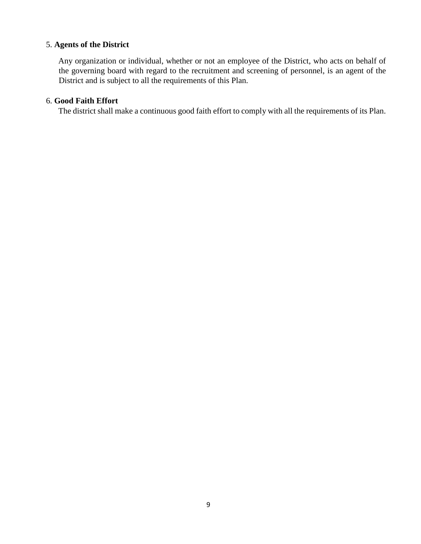#### 5. **Agents of the District**

Any organization or individual, whether or not an employee of the District, who acts on behalf of the governing board with regard to the recruitment and screening of personnel, is an agent of the District and is subject to all the requirements of this Plan.

#### 6. **Good Faith Effort**

The district shall make a continuous good faith effort to comply with all the requirements of its Plan.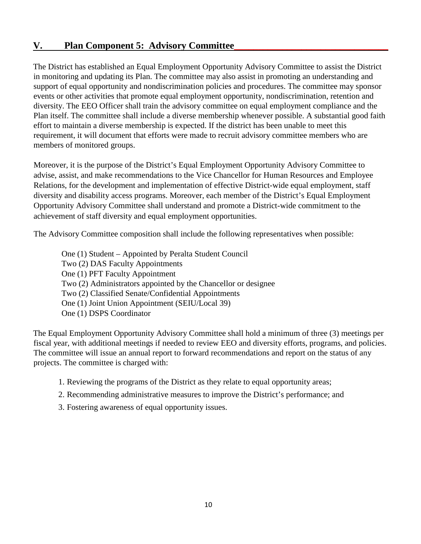# **V.** Plan Component 5: Advisory Committee

The District has established an Equal Employment Opportunity Advisory Committee to assist the District in monitoring and updating its Plan. The committee may also assist in promoting an understanding and support of equal opportunity and nondiscrimination policies and procedures. The committee may sponsor events or other activities that promote equal employment opportunity, nondiscrimination, retention and diversity. The EEO Officer shall train the advisory committee on equal employment compliance and the Plan itself. The committee shall include a diverse membership whenever possible. A substantial good faith effort to maintain a diverse membership is expected. If the district has been unable to meet this requirement, it will document that efforts were made to recruit advisory committee members who are members of monitored groups.

Moreover, it is the purpose of the District's Equal Employment Opportunity Advisory Committee to advise, assist, and make recommendations to the Vice Chancellor for Human Resources and Employee Relations, for the development and implementation of effective District-wide equal employment, staff diversity and disability access programs. Moreover, each member of the District's Equal Employment Opportunity Advisory Committee shall understand and promote a District-wide commitment to the achievement of staff diversity and equal employment opportunities.

The Advisory Committee composition shall include the following representatives when possible:

One (1) Student – Appointed by Peralta Student Council Two (2) DAS Faculty Appointments One (1) PFT Faculty Appointment Two (2) Administrators appointed by the Chancellor or designee Two (2) Classified Senate/Confidential Appointments One (1) Joint Union Appointment (SEIU/Local 39) One (1) DSPS Coordinator

The Equal Employment Opportunity Advisory Committee shall hold a minimum of three (3) meetings per fiscal year, with additional meetings if needed to review EEO and diversity efforts, programs, and policies. The committee will issue an annual report to forward recommendations and report on the status of any projects. The committee is charged with:

- 1. Reviewing the programs of the District as they relate to equal opportunity areas;
- 2. Recommending administrative measures to improve the District's performance; and
- 3. Fostering awareness of equal opportunity issues.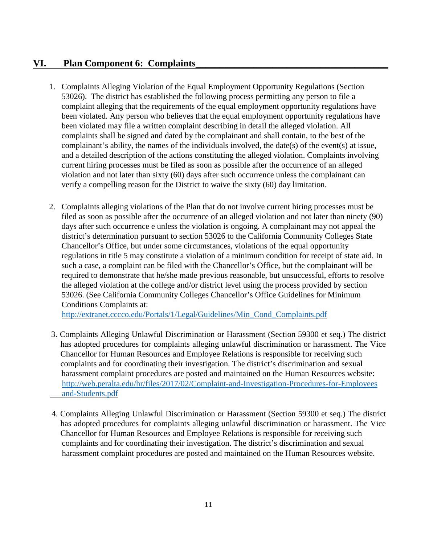## **VI.** Plan Component 6: Complaints

- 1. Complaints Alleging Violation of the Equal Employment Opportunity Regulations (Section 53026). The district has established the following process permitting any person to file a complaint alleging that the requirements of the equal employment opportunity regulations have been violated. Any person who believes that the equal employment opportunity regulations have been violated may file a written complaint describing in detail the alleged violation. All complaints shall be signed and dated by the complainant and shall contain, to the best of the complainant's ability, the names of the individuals involved, the date(s) of the event(s) at issue, and a detailed description of the actions constituting the alleged violation. Complaints involving current hiring processes must be filed as soon as possible after the occurrence of an alleged violation and not later than sixty (60) days after such occurrence unless the complainant can verify a compelling reason for the District to waive the sixty (60) day limitation.
- 2. Complaints alleging violations of the Plan that do not involve current hiring processes must be filed as soon as possible after the occurrence of an alleged violation and not later than ninety (90) days after such occurrence e unless the violation is ongoing. A complainant may not appeal the district's determination pursuant to section 53026 to the California Community Colleges State Chancellor's Office, but under some circumstances, violations of the equal opportunity regulations in title 5 may constitute a violation of a minimum condition for receipt of state aid. In such a case, a complaint can be filed with the Chancellor's Office, but the complainant will be required to demonstrate that he/she made previous reasonable, but unsuccessful, efforts to resolve the alleged violation at the college and/or district level using the process provided by section 53026. (See California Community Colleges Chancellor's Office Guidelines for Minimum Conditions Complaints at:

[http://extranet.cccco.edu/Portals/1/Legal/Guidelines/Min\\_Cond\\_Complaints.pdf](http://extranet.cccco.edu/Portals/1/Legal/Guidelines/Min_Cond_Complaints.pdf)

- 3. Complaints Alleging Unlawful Discrimination or Harassment (Section 59300 et seq.) The district has adopted procedures for complaints alleging unlawful discrimination or harassment. The Vice Chancellor for Human Resources and Employee Relations is responsible for receiving such complaints and for coordinating their investigation. The district's discrimination and sexual harassment complaint procedures are posted and maintained on the Human Resources website: [http://web.peralta.edu/hr/files/2017/02/Complaint-and-Investigation-Procedures-for-Employees](http://web.peralta.edu/hr/files/2017/02/Complaint-and-Investigation-Procedures-for-Employees%20%20%20%20%20%20%20%20%20%20%20%20and-Students.pdf)   [and-Students.pdf](http://web.peralta.edu/hr/files/2017/02/Complaint-and-Investigation-Procedures-for-Employees%20%20%20%20%20%20%20%20%20%20%20%20and-Students.pdf)
- 4. Complaints Alleging Unlawful Discrimination or Harassment (Section 59300 et seq.) The district has adopted procedures for complaints alleging unlawful discrimination or harassment. The Vice Chancellor for Human Resources and Employee Relations is responsible for receiving such complaints and for coordinating their investigation. The district's discrimination and sexual harassment complaint procedures are posted and maintained on the Human Resources website.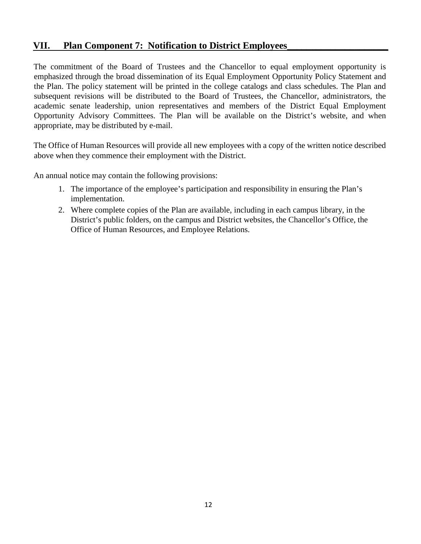## **VII. Plan Component 7: Notification to District Employees\_\_\_\_\_\_\_\_\_\_\_\_\_\_\_\_\_\_\_\_\_**

The commitment of the Board of Trustees and the Chancellor to equal employment opportunity is emphasized through the broad dissemination of its Equal Employment Opportunity Policy Statement and the Plan. The policy statement will be printed in the college catalogs and class schedules. The Plan and subsequent revisions will be distributed to the Board of Trustees, the Chancellor, administrators, the academic senate leadership, union representatives and members of the District Equal Employment Opportunity Advisory Committees. The Plan will be available on the District's website, and when appropriate, may be distributed by e-mail.

The Office of Human Resources will provide all new employees with a copy of the written notice described above when they commence their employment with the District.

An annual notice may contain the following provisions:

- 1. The importance of the employee's participation and responsibility in ensuring the Plan's implementation.
- 2. Where complete copies of the Plan are available, including in each campus library, in the District's public folders, on the campus and District websites, the Chancellor's Office, the Office of Human Resources, and Employee Relations.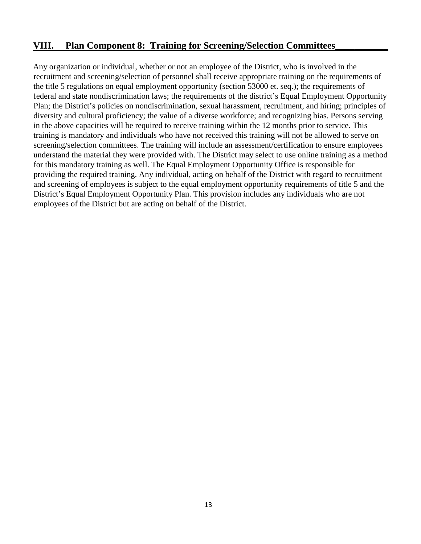## VIII. Plan Component 8: Training for Screening/Selection Committees

Any organization or individual, whether or not an employee of the District, who is involved in the recruitment and screening/selection of personnel shall receive appropriate training on the requirements of the title 5 regulations on equal employment opportunity (section 53000 et. seq.); the requirements of federal and state nondiscrimination laws; the requirements of the district's Equal Employment Opportunity Plan; the District's policies on nondiscrimination, sexual harassment, recruitment, and hiring; principles of diversity and cultural proficiency; the value of a diverse workforce; and recognizing bias. Persons serving in the above capacities will be required to receive training within the 12 months prior to service. This training is mandatory and individuals who have not received this training will not be allowed to serve on screening/selection committees. The training will include an assessment/certification to ensure employees understand the material they were provided with. The District may select to use online training as a method for this mandatory training as well. The Equal Employment Opportunity Office is responsible for providing the required training. Any individual, acting on behalf of the District with regard to recruitment and screening of employees is subject to the equal employment opportunity requirements of title 5 and the District's Equal Employment Opportunity Plan. This provision includes any individuals who are not employees of the District but are acting on behalf of the District.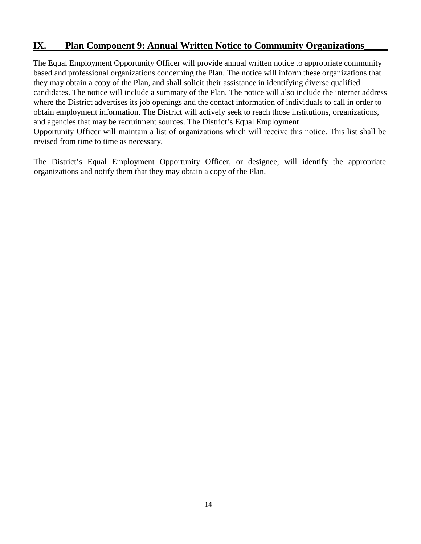## **IX.** Plan Component 9: Annual Written Notice to Community Organizations

The Equal Employment Opportunity Officer will provide annual written notice to appropriate community based and professional organizations concerning the Plan. The notice will inform these organizations that they may obtain a copy of the Plan, and shall solicit their assistance in identifying diverse qualified candidates. The notice will include a summary of the Plan. The notice will also include the internet address where the District advertises its job openings and the contact information of individuals to call in order to obtain employment information. The District will actively seek to reach those institutions, organizations, and agencies that may be recruitment sources. The District's Equal Employment Opportunity Officer will maintain a list of organizations which will receive this notice. This list shall be revised from time to time as necessary.

The District's Equal Employment Opportunity Officer, or designee, will identify the appropriate organizations and notify them that they may obtain a copy of the Plan.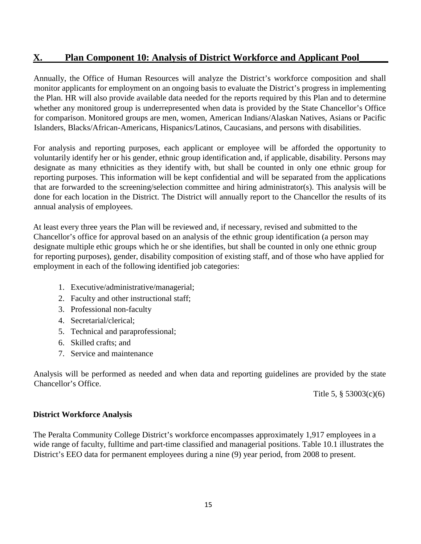# **X. Plan Component 10: Analysis of District Workforce and Applicant Pool**

Annually, the Office of Human Resources will analyze the District's workforce composition and shall monitor applicants for employment on an ongoing basis to evaluate the District's progress in implementing the Plan. HR will also provide available data needed for the reports required by this Plan and to determine whether any monitored group is underrepresented when data is provided by the State Chancellor's Office for comparison. Monitored groups are men, women, American Indians/Alaskan Natives, Asians or Pacific Islanders, Blacks/African-Americans, Hispanics/Latinos, Caucasians, and persons with disabilities.

For analysis and reporting purposes, each applicant or employee will be afforded the opportunity to voluntarily identify her or his gender, ethnic group identification and, if applicable, disability. Persons may designate as many ethnicities as they identify with, but shall be counted in only one ethnic group for reporting purposes. This information will be kept confidential and will be separated from the applications that are forwarded to the screening/selection committee and hiring administrator(s). This analysis will be done for each location in the District. The District will annually report to the Chancellor the results of its annual analysis of employees.

At least every three years the Plan will be reviewed and, if necessary, revised and submitted to the Chancellor's office for approval based on an analysis of the ethnic group identification (a person may designate multiple ethic groups which he or she identifies, but shall be counted in only one ethnic group for reporting purposes), gender, disability composition of existing staff, and of those who have applied for employment in each of the following identified job categories:

- 1. Executive/administrative/managerial;
- 2. Faculty and other instructional staff;
- 3. Professional non-faculty
- 4. Secretarial/clerical;
- 5. Technical and paraprofessional;
- 6. Skilled crafts; and
- 7. Service and maintenance

Analysis will be performed as needed and when data and reporting guidelines are provided by the state Chancellor's Office.

Title 5, § 53003(c)(6)

#### **District Workforce Analysis**

The Peralta Community College District's workforce encompasses approximately 1,917 employees in a wide range of faculty, fulltime and part-time classified and managerial positions. Table 10.1 illustrates the District's EEO data for permanent employees during a nine (9) year period, from 2008 to present.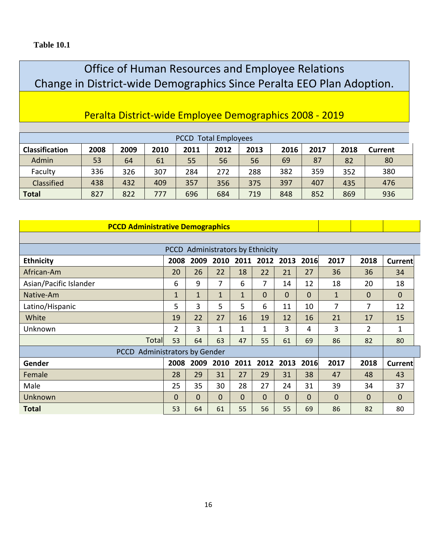# Office of Human Resources and Employee Relations Change in District-wide Demographics Since Peralta EEO Plan Adoption.

# Peralta District-wide Employee Demographics 2008 - 2019

| <b>Total Employees</b><br><b>PCCD</b> |      |      |      |      |      |      |      |      |      |                |
|---------------------------------------|------|------|------|------|------|------|------|------|------|----------------|
| <b>Classification</b>                 | 2008 | 2009 | 2010 | 2011 | 2012 | 2013 | 2016 | 2017 | 2018 | <b>Current</b> |
| Admin                                 | 53   | 64   | 61   | 55   | 56   | 56   | 69   | 87   | 82   | 80             |
| Faculty                               | 336  | 326  | 307  | 284  | 272  | 288  | 382  | 359  | 352  | 380            |
| Classified                            | 438  | 432  | 409  | 357  | 356  | 375  | 397  | 407  | 435  | 476            |
| <b>Total</b>                          | 827  | 822  | 777  | 696  | 684  | 719  | 848  | 852  | 869  | 936            |

| <b>PCCD Administrative Demographics</b>        |                |              |              |             |              |           |             |              |                |                |
|------------------------------------------------|----------------|--------------|--------------|-------------|--------------|-----------|-------------|--------------|----------------|----------------|
|                                                |                |              |              |             |              |           |             |              |                |                |
| PCCD Administrators by Ethnicity               |                |              |              |             |              |           |             |              |                |                |
| <b>Ethnicity</b>                               | 2008           | 2009         | 2010         | 2011        |              | 2012 2013 | 2016        | 2017         | 2018           | <b>Current</b> |
| African-Am                                     | 20             | 26           | 22           | 18          | 22           | 21        | 27          | 36           | 36             | 34             |
| Asian/Pacific Islander                         | 6              | 9            | 7            | 6           | 7            | 14        | 12          | 18           | 20             | 18             |
| Native-Am                                      | $\mathbf{1}$   | $\mathbf{1}$ | $\mathbf{1}$ | $\mathbf 1$ | $\Omega$     | 0         | $\mathbf 0$ | $\mathbf{1}$ | $\mathbf 0$    | 0              |
| Latino/Hispanic                                | 5              | 3            | 5            | 5           | 6            | 11        | 10          | 7            | 7              | 12             |
| White                                          | 19             | 22           | 27           | 16          | 19           | 12        | 16          | 21           | 17             | 15             |
| Unknown                                        | $\overline{2}$ | 3            | 1            | 1           | 1            | 3         | 4           | 3            | $\overline{2}$ | 1              |
| <b>Total</b>                                   | 53             | 64           | 63           | 47          | 55           | 61        | 69          | 86           | 82             | 80             |
| <b>Administrators by Gender</b><br><b>PCCD</b> |                |              |              |             |              |           |             |              |                |                |
| Gender                                         | 2008           | 2009         | 2010         | 2011        | 2012         | 2013      | 2016        | 2017         | 2018           | <b>Current</b> |
| Female                                         | 28             | 29           | 31           | 27          | 29           | 31        | 38          | 47           | 48             | 43             |
| Male                                           | 25             | 35           | 30           | 28          | 27           | 24        | 31          | 39           | 34             | 37             |
| Unknown                                        | $\Omega$       | $\Omega$     | $\Omega$     | $\Omega$    | $\mathbf{0}$ | 0         | 0           | 0            | $\Omega$       | 0              |
| <b>Total</b>                                   | 53             | 64           | 61           | 55          | 56           | 55        | 69          | 86           | 82             | 80             |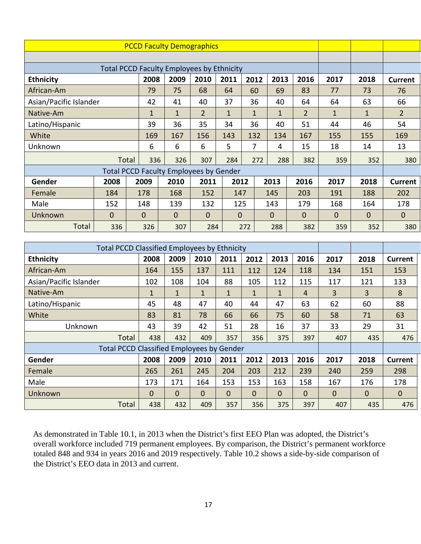| <b>PCCD Faculty Demographics</b>                 |              |              |                                               |                |              |              |              |                |              |              |                |
|--------------------------------------------------|--------------|--------------|-----------------------------------------------|----------------|--------------|--------------|--------------|----------------|--------------|--------------|----------------|
|                                                  |              |              |                                               |                |              |              |              |                |              |              |                |
| <b>Total PCCD Faculty Employees by Ethnicity</b> |              |              |                                               |                |              |              |              |                |              |              |                |
| <b>Ethnicity</b>                                 |              | 2008         | 2009                                          | 2010           | 2011         | 2012         | 2013         | 2016           | 2017         | 2018         | <b>Current</b> |
| African-Am                                       |              | 79           | 75                                            | 68             | 64           | 60           | 69           | 83             | 77           | 73           | 76             |
| Asian/Pacific Islander                           |              | 42           | 41                                            | 40             | 37           | 36           | 40           | 64             | 64           | 63           | 66             |
| Native-Am                                        |              | $\mathbf{1}$ | $\mathbf{1}$                                  | $\overline{2}$ | $\mathbf{1}$ | $\mathbf{1}$ | $\mathbf{1}$ | $\overline{2}$ | $\mathbf{1}$ | $\mathbf{1}$ | $\overline{2}$ |
| Latino/Hispanic                                  |              | 39           | 36                                            | 35             | 34           | 36           | 40           | 51             | 44           | 46           | 54             |
| White                                            |              | 169          | 167                                           | 156            | 143          | 132          | 134          | 167            | 155          | 155          | 169            |
| Unknown                                          |              | 6            | 6                                             | 6              | 5            | 7            | 4            | 15             | 18           | 14           | 13             |
|                                                  |              | Total        | 336<br>326                                    | 307            | 284          | 272          | 288          | 382            | 359          | 352          | 380            |
|                                                  |              |              | <b>Total PCCD Faculty Employees by Gender</b> |                |              |              |              |                |              |              |                |
| Gender                                           | 2008         | 2009         | 2010                                          | 2011           | 2012         |              | 2013         | 2016           | 2017         | 2018         | <b>Current</b> |
| Female                                           | 184          | 178          | 168                                           | 152            | 147          |              | 145          | 203            | 191          | 188          | 202            |
| Male                                             | 152          | 148          | 139                                           | 132            | 125          |              | 143          | 179            | 168          | 164          | 178            |
| Unknown                                          | $\mathbf{0}$ | $\mathbf{0}$ | $\Omega$                                      | $\mathbf{0}$   | $\mathbf{0}$ |              | $\mathbf{0}$ | $\Omega$       | $\Omega$     | 0            | 0              |
| Total                                            | 336          | 326          | 307                                           | 284            |              | 272          | 288          | 382            | 359          | 352          | 380            |

| <b>Total PCCD Classified Employees by Ethnicity</b> |             |              |              |              |             |             |             |             |             |                |
|-----------------------------------------------------|-------------|--------------|--------------|--------------|-------------|-------------|-------------|-------------|-------------|----------------|
| <b>Ethnicity</b>                                    | 2008        | 2009         | 2010         | 2011         | 2012        | 2013        | 2016        | 2017        | 2018        | <b>Current</b> |
| African-Am                                          | 164         | 155          | 137          | 111          | 112         | 124         | 118         | 134         | 151         | 153            |
| Asian/Pacific Islander                              | 102         | 108          | 104          | 88           | 105         | 112         | 115         | 117         | 121         | 133            |
| Native-Am                                           | $\mathbf 1$ | $\mathbf{1}$ | $\mathbf{1}$ | $\mathbf{1}$ | 1           | 1           | 4           | 3           | 3           | 8              |
| Latino/Hispanic                                     | 45          | 48           | 47           | 40           | 44          | 47          | 63          | 62          | 60          | 88             |
| White                                               | 83          | 81           | 78           | 66           | 66          | 75          | 60          | 58          | 71          | 63             |
| Unknown                                             | 43          | 39           | 42           | 51           | 28          | 16          | 37          | 33          | 29          | 31             |
| Total                                               | 438         | 432          | 409          | 357          | 356         | 375         | 397         | 407         | 435         | 476            |
| <b>Total PCCD Classified Employees by Gender</b>    |             |              |              |              |             |             |             |             |             |                |
| Gender                                              | 2008        | 2009         | 2010         | 2011         | 2012        | 2013        | 2016        | 2017        | 2018        | <b>Current</b> |
| Female                                              | 265         | 261          | 245          | 204          | 203         | 212         | 239         | 240         | 259         | 298            |
| Male                                                | 173         | 171          | 164          | 153          | 153         | 163         | 158         | 167         | 176         | 178            |
| Unknown                                             | 0           | $\Omega$     | $\mathbf 0$  | $\mathbf 0$  | $\mathbf 0$ | $\mathbf 0$ | $\mathbf 0$ | $\mathbf 0$ | $\mathbf 0$ | $\mathbf 0$    |
| Total                                               | 438         | 432          | 409          | 357          | 356         | 375         | 397         | 407         | 435         | 476            |

As demonstrated in Table 10.1, in 2013 when the District's first EEO Plan was adopted, the District's overall workforce included 719 permanent employees. By comparison, the District's permanent workforce totaled 848 and 934 in years 2016 and 2019 respectively. Table 10.2 shows a side-by-side comparison of the District's EEO data in 2013 and current.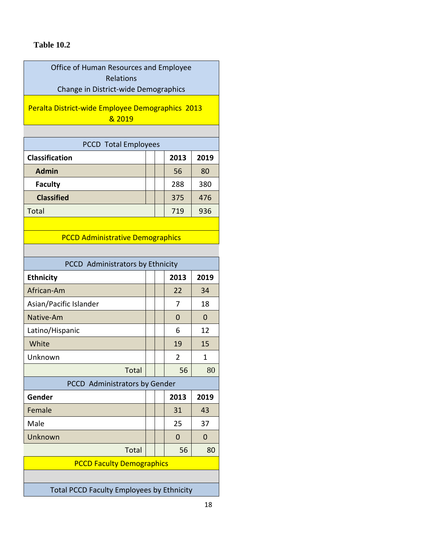### **Table 10.2**

Office of Human Resources and Employee Relations Change in District-wide Demographics

Peralta District-wide Employee Demographics 2013 & 2019

| <b>PCCD</b> Total Employees |  |      |      |  |  |  |
|-----------------------------|--|------|------|--|--|--|
| Classification              |  | 2013 | 2019 |  |  |  |
| <b>Admin</b>                |  | 56   | 80   |  |  |  |
| <b>Faculty</b>              |  | 288  | 380  |  |  |  |
| <b>Classified</b>           |  | 375  | 476  |  |  |  |
| <b>Total</b>                |  | 719  | 936  |  |  |  |

### PCCD Administrative Demographics

| PCCD Administrators by Ethnicity                 |  |  |                |                |  |
|--------------------------------------------------|--|--|----------------|----------------|--|
| <b>Ethnicity</b>                                 |  |  | 2013           | 2019           |  |
| African-Am                                       |  |  | 22             | 34             |  |
| Asian/Pacific Islander                           |  |  | 7              | 18             |  |
| Native-Am                                        |  |  | $\Omega$       | $\Omega$       |  |
| Latino/Hispanic                                  |  |  | 6              | 12             |  |
| White                                            |  |  | 19             | 15             |  |
| Unknown                                          |  |  | $\overline{2}$ | 1              |  |
| Total                                            |  |  | 56             | 80             |  |
| PCCD Administrators by Gender                    |  |  |                |                |  |
| Gender                                           |  |  | 2013           | 2019           |  |
| Female                                           |  |  | 31             | 43             |  |
| Male                                             |  |  | 25             | 37             |  |
| Unknown                                          |  |  | $\overline{0}$ | $\overline{0}$ |  |
| <b>Total</b>                                     |  |  | 56             | 80             |  |
| <b>PCCD Faculty Demographics</b>                 |  |  |                |                |  |
|                                                  |  |  |                |                |  |
| <b>Total PCCD Faculty Employees by Ethnicity</b> |  |  |                |                |  |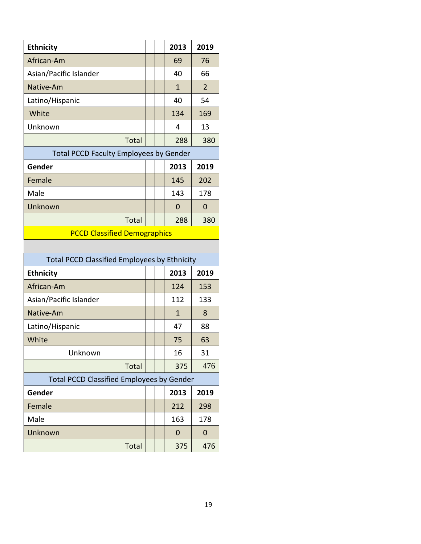| <b>Ethnicity</b>                              |  |  | 2013 | 2019           |  |  |
|-----------------------------------------------|--|--|------|----------------|--|--|
| African-Am                                    |  |  | 69   | 76             |  |  |
| Asian/Pacific Islander                        |  |  | 40   | 66             |  |  |
| Native-Am                                     |  |  | 1    | $\overline{2}$ |  |  |
| Latino/Hispanic                               |  |  | 40   | 54             |  |  |
| White                                         |  |  | 134  | 169            |  |  |
| Unknown                                       |  |  | 4    | 13             |  |  |
| <b>Total</b>                                  |  |  | 288  | 380            |  |  |
| <b>Total PCCD Faculty Employees by Gender</b> |  |  |      |                |  |  |
| Gender                                        |  |  | 2013 | 2019           |  |  |
| Female                                        |  |  | 145  | 202            |  |  |
| Male                                          |  |  | 143  | 178            |  |  |
| Unknown                                       |  |  | 0    | 0              |  |  |
| <b>Total</b>                                  |  |  | 288  | 380            |  |  |
| <b>PCCD Classified Demographics</b>           |  |  |      |                |  |  |

| <b>Total PCCD Classified Employees by Ethnicity</b> |  |  |      |          |  |
|-----------------------------------------------------|--|--|------|----------|--|
| <b>Ethnicity</b>                                    |  |  | 2013 | 2019     |  |
| African-Am                                          |  |  | 124  | 153      |  |
| Asian/Pacific Islander                              |  |  | 112  | 133      |  |
| Native-Am                                           |  |  | 1    | 8        |  |
| Latino/Hispanic                                     |  |  | 47   | 88       |  |
| White                                               |  |  | 75   | 63       |  |
| Unknown                                             |  |  | 16   | 31       |  |
| <b>Total</b>                                        |  |  | 375  | 476      |  |
| <b>Total PCCD Classified Employees by Gender</b>    |  |  |      |          |  |
| Gender                                              |  |  | 2013 | 2019     |  |
| Female                                              |  |  | 212  | 298      |  |
| Male                                                |  |  | 163  | 178      |  |
| Unknown                                             |  |  | 0    | $\Omega$ |  |
| Total                                               |  |  | 375  | 476      |  |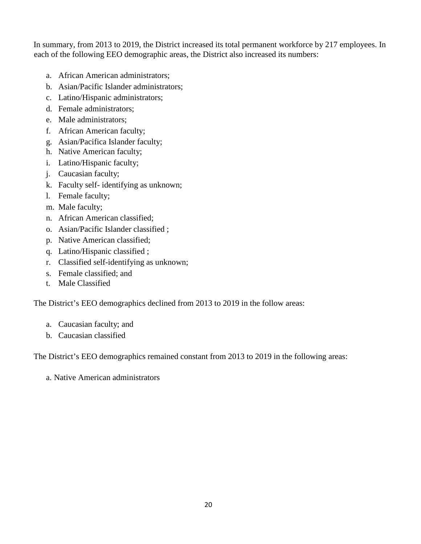In summary, from 2013 to 2019, the District increased its total permanent workforce by 217 employees. In each of the following EEO demographic areas, the District also increased its numbers:

- a. African American administrators;
- b. Asian/Pacific Islander administrators;
- c. Latino/Hispanic administrators;
- d. Female administrators;
- e. Male administrators;
- f. African American faculty;
- g. Asian/Pacifica Islander faculty;
- h. Native American faculty;
- i. Latino/Hispanic faculty;
- j. Caucasian faculty;
- k. Faculty self- identifying as unknown;
- l. Female faculty;
- m. Male faculty;
- n. African American classified;
- o. Asian/Pacific Islander classified ;
- p. Native American classified;
- q. Latino/Hispanic classified ;
- r. Classified self-identifying as unknown;
- s. Female classified; and
- t. Male Classified

The District's EEO demographics declined from 2013 to 2019 in the follow areas:

- a. Caucasian faculty; and
- b. Caucasian classified

The District's EEO demographics remained constant from 2013 to 2019 in the following areas:

a. Native American administrators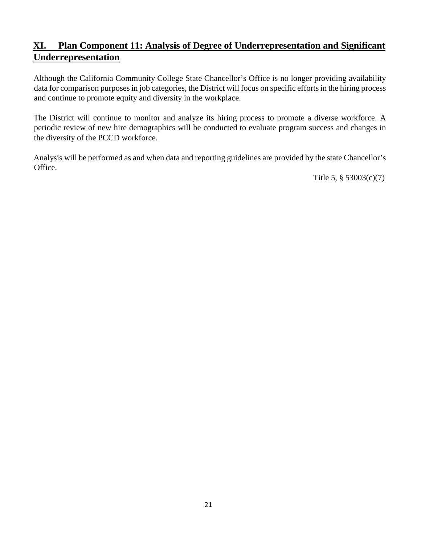# **XI. Plan Component 11: Analysis of Degree of Underrepresentation and Significant Underrepresentation**

Although the California Community College State Chancellor's Office is no longer providing availability data for comparison purposes in job categories, the District will focus on specific efforts in the hiring process and continue to promote equity and diversity in the workplace.

The District will continue to monitor and analyze its hiring process to promote a diverse workforce. A periodic review of new hire demographics will be conducted to evaluate program success and changes in the diversity of the PCCD workforce.

Analysis will be performed as and when data and reporting guidelines are provided by the state Chancellor's Office.

Title 5, § 53003(c)(7)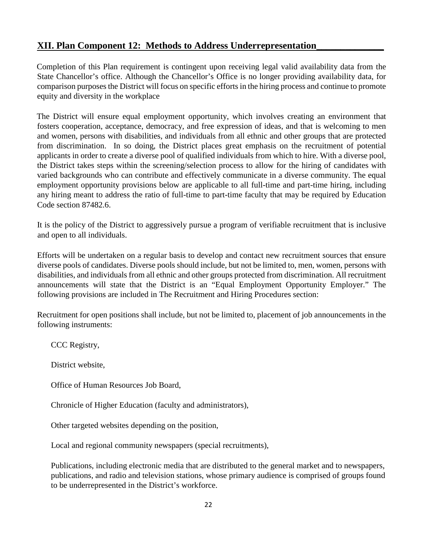# **XII. Plan Component 12: Methods to Address Underrepresentation\_\_\_\_\_\_\_\_\_\_\_\_\_\_**

Completion of this Plan requirement is contingent upon receiving legal valid availability data from the State Chancellor's office. Although the Chancellor's Office is no longer providing availability data, for comparison purposes the District will focus on specific efforts in the hiring process and continue to promote equity and diversity in the workplace

The District will ensure equal employment opportunity, which involves creating an environment that fosters cooperation, acceptance, democracy, and free expression of ideas, and that is welcoming to men and women, persons with disabilities, and individuals from all ethnic and other groups that are protected from discrimination. In so doing, the District places great emphasis on the recruitment of potential applicants in order to create a diverse pool of qualified individuals from which to hire. With a diverse pool, the District takes steps within the screening/selection process to allow for the hiring of candidates with varied backgrounds who can contribute and effectively communicate in a diverse community. The equal employment opportunity provisions below are applicable to all full-time and part-time hiring, including any hiring meant to address the ratio of full-time to part-time faculty that may be required by Education Code section 87482.6.

It is the policy of the District to aggressively pursue a program of verifiable recruitment that is inclusive and open to all individuals.

Efforts will be undertaken on a regular basis to develop and contact new recruitment sources that ensure diverse pools of candidates. Diverse pools should include, but not be limited to, men, women, persons with disabilities, and individuals from all ethnic and other groups protected from discrimination. All recruitment announcements will state that the District is an "Equal Employment Opportunity Employer." The following provisions are included in The Recruitment and Hiring Procedures section:

Recruitment for open positions shall include, but not be limited to, placement of job announcements in the following instruments:

CCC Registry,

District website,

Office of Human Resources Job Board,

Chronicle of Higher Education (faculty and administrators),

Other targeted websites depending on the position,

Local and regional community newspapers (special recruitments),

Publications, including electronic media that are distributed to the general market and to newspapers, publications, and radio and television stations, whose primary audience is comprised of groups found to be underrepresented in the District's workforce.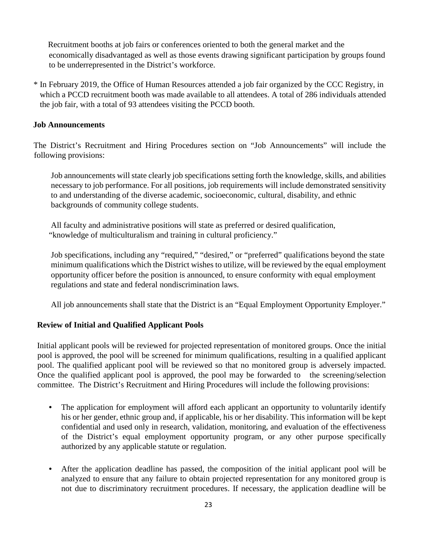Recruitment booths at job fairs or conferences oriented to both the general market and the economically disadvantaged as well as those events drawing significant participation by groups found to be underrepresented in the District's workforce.

\* In February 2019, the Office of Human Resources attended a job fair organized by the CCC Registry, in which a PCCD recruitment booth was made available to all attendees. A total of 286 individuals attended the job fair, with a total of 93 attendees visiting the PCCD booth.

#### **Job Announcements**

The District's Recruitment and Hiring Procedures section on "Job Announcements" will include the following provisions:

Job announcements will state clearly job specifications setting forth the knowledge, skills, and abilities necessary to job performance. For all positions, job requirements will include demonstrated sensitivity to and understanding of the diverse academic, socioeconomic, cultural, disability, and ethnic backgrounds of community college students.

All faculty and administrative positions will state as preferred or desired qualification, "knowledge of multiculturalism and training in cultural proficiency."

Job specifications, including any "required," "desired," or "preferred" qualifications beyond the state minimum qualifications which the District wishes to utilize, will be reviewed by the equal employment opportunity officer before the position is announced, to ensure conformity with equal employment regulations and state and federal nondiscrimination laws.

All job announcements shall state that the District is an "Equal Employment Opportunity Employer."

## **Review of Initial and Qualified Applicant Pools**

Initial applicant pools will be reviewed for projected representation of monitored groups. Once the initial pool is approved, the pool will be screened for minimum qualifications, resulting in a qualified applicant pool. The qualified applicant pool will be reviewed so that no monitored group is adversely impacted. Once the qualified applicant pool is approved, the pool may be forwarded to the screening/selection committee. The District's Recruitment and Hiring Procedures will include the following provisions:

- The application for employment will afford each applicant an opportunity to voluntarily identify his or her gender, ethnic group and, if applicable, his or her disability. This information will be kept confidential and used only in research, validation, monitoring, and evaluation of the effectiveness of the District's equal employment opportunity program, or any other purpose specifically authorized by any applicable statute or regulation.
- After the application deadline has passed, the composition of the initial applicant pool will be analyzed to ensure that any failure to obtain projected representation for any monitored group is not due to discriminatory recruitment procedures. If necessary, the application deadline will be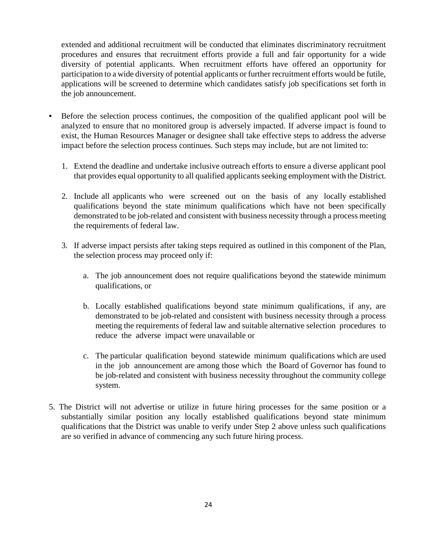extended and additional recruitment will be conducted that eliminates discriminatory recruitment procedures and ensures that recruitment efforts provide a full and fair opportunity for a wide diversity of potential applicants. When recruitment efforts have offered an opportunity for participation to a wide diversity of potential applicants or further recruitment efforts would be futile, applications will be screened to determine which candidates satisfy job specifications set forth in the job announcement.

- Before the selection process continues, the composition of the qualified applicant pool will be analyzed to ensure that no monitored group is adversely impacted. If adverse impact is found to exist, the Human Resources Manager or designee shall take effective steps to address the adverse impact before the selection process continues. Such steps may include, but are not limited to:
	- 1. Extend the deadline and undertake inclusive outreach efforts to ensure a diverse applicant pool that provides equal opportunity to all qualified applicants seeking employment with the District.
	- 2. Include all applicants who were screened out on the basis of any locally established qualifications beyond the state minimum qualifications which have not been specifically demonstrated to be job-related and consistent with business necessity through a process meeting the requirements of federal law.
	- 3. If adverse impact persists after taking steps required as outlined in this component of the Plan, the selection process may proceed only if:
		- a. The job announcement does not require qualifications beyond the statewide minimum qualifications, or
		- b. Locally established qualifications beyond state minimum qualifications, if any, are demonstrated to be job-related and consistent with business necessity through a process meeting the requirements of federal law and suitable alternative selection procedures to reduce the adverse impact were unavailable or
		- c. The particular qualification beyond statewide minimum qualifications which are used in the job announcement are among those which the Board of Governor has found to be job-related and consistent with business necessity throughout the community college system.
- 5. The District will not advertise or utilize in future hiring processes for the same position or a substantially similar position any locally established qualifications beyond state minimum qualifications that the District was unable to verify under Step 2 above unless such qualifications are so verified in advance of commencing any such future hiring process.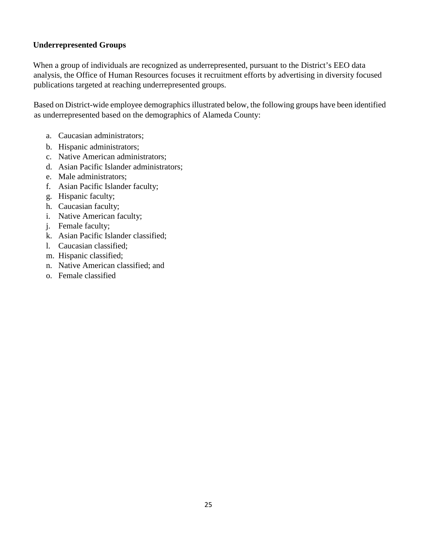#### **Underrepresented Groups**

When a group of individuals are recognized as underrepresented, pursuant to the District's EEO data analysis, the Office of Human Resources focuses it recruitment efforts by advertising in diversity focused publications targeted at reaching underrepresented groups.

Based on District-wide employee demographics illustrated below, the following groups have been identified as underrepresented based on the demographics of Alameda County:

- a. Caucasian administrators;
- b. Hispanic administrators;
- c. Native American administrators;
- d. Asian Pacific Islander administrators;
- e. Male administrators;
- f. Asian Pacific Islander faculty;
- g. Hispanic faculty;
- h. Caucasian faculty;
- i. Native American faculty;
- j. Female faculty;
- k. Asian Pacific Islander classified;
- l. Caucasian classified;
- m. Hispanic classified;
- n. Native American classified; and
- o. Female classified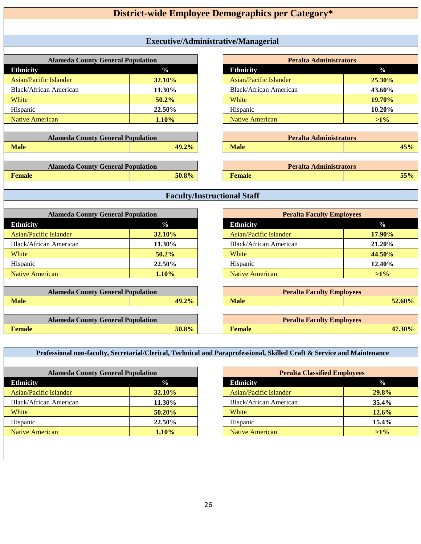| Executive/Administrative/Managerial<br><b>Peralta Administrators</b><br><b>Alameda County General Population</b><br>$\frac{0}{0}$<br>$\frac{0}{0}$<br><b>Ethnicity</b><br><b>Ethnicity</b><br><b>Asian/Pacific Islander</b><br><b>Asian/Pacific Islander</b><br>32.10%<br>25.30%<br><b>Black/African American</b><br><b>Black/African American</b><br>43.60%<br>11.30%<br>50.2%<br>19.70%<br>White<br>White |
|-------------------------------------------------------------------------------------------------------------------------------------------------------------------------------------------------------------------------------------------------------------------------------------------------------------------------------------------------------------------------------------------------------------|
|                                                                                                                                                                                                                                                                                                                                                                                                             |
|                                                                                                                                                                                                                                                                                                                                                                                                             |
|                                                                                                                                                                                                                                                                                                                                                                                                             |
|                                                                                                                                                                                                                                                                                                                                                                                                             |
|                                                                                                                                                                                                                                                                                                                                                                                                             |
|                                                                                                                                                                                                                                                                                                                                                                                                             |
|                                                                                                                                                                                                                                                                                                                                                                                                             |
|                                                                                                                                                                                                                                                                                                                                                                                                             |
| Hispanic<br>Hispanic<br>22.50%<br>10.20%                                                                                                                                                                                                                                                                                                                                                                    |
| <b>Native American</b><br><b>Native American</b><br>1.10%<br>$>1\%$                                                                                                                                                                                                                                                                                                                                         |
|                                                                                                                                                                                                                                                                                                                                                                                                             |
| <b>Alameda County General Population</b><br><b>Peralta Administrators</b>                                                                                                                                                                                                                                                                                                                                   |
| <b>Male</b><br>49.2%<br><b>Male</b><br>45%                                                                                                                                                                                                                                                                                                                                                                  |
|                                                                                                                                                                                                                                                                                                                                                                                                             |
| <b>Alameda County General Population</b><br><b>Peralta Administrators</b>                                                                                                                                                                                                                                                                                                                                   |
| <b>Female</b><br>50.8%<br><b>Female</b><br>55%                                                                                                                                                                                                                                                                                                                                                              |
|                                                                                                                                                                                                                                                                                                                                                                                                             |
| <b>Faculty/Instructional Staff</b>                                                                                                                                                                                                                                                                                                                                                                          |
| <b>Alameda County General Population</b><br><b>Peralta Faculty Employees</b>                                                                                                                                                                                                                                                                                                                                |
| <b>Ethnicity</b><br>$\frac{0}{0}$<br><b>Ethnicity</b><br>$\frac{0}{0}$                                                                                                                                                                                                                                                                                                                                      |
| <b>Asian/Pacific Islander</b><br><b>Asian/Pacific Islander</b><br>32.10%<br>17.90%                                                                                                                                                                                                                                                                                                                          |
| <b>Black/African American</b><br><b>Black/African American</b><br>11.30%<br>21.20%                                                                                                                                                                                                                                                                                                                          |
| White<br>50.2%<br>White<br>44.50%                                                                                                                                                                                                                                                                                                                                                                           |
| Hispanic<br>22.50%<br>Hispanic<br>12.40%                                                                                                                                                                                                                                                                                                                                                                    |
| <b>Native American</b><br>1.10%<br>$>1\%$<br><b>Native American</b>                                                                                                                                                                                                                                                                                                                                         |
|                                                                                                                                                                                                                                                                                                                                                                                                             |
| <b>Alameda County General Population</b><br><b>Peralta Faculty Employees</b>                                                                                                                                                                                                                                                                                                                                |
| <b>Male</b><br>52.60%<br>49.2%<br><b>Male</b>                                                                                                                                                                                                                                                                                                                                                               |
|                                                                                                                                                                                                                                                                                                                                                                                                             |
| <b>Alameda County General Population</b><br><b>Peralta Faculty Employees</b>                                                                                                                                                                                                                                                                                                                                |
| Female<br>50.8%<br><b>Female</b><br>47.30%                                                                                                                                                                                                                                                                                                                                                                  |

**Professional non-faculty, Secretarial/Clerical, Technical and Paraprofessional, Skilled Craft & Service and Maintenance**

| <b>Alameda County General Population</b> |               |  |  |  |
|------------------------------------------|---------------|--|--|--|
| <b>Ethnicity</b>                         | $\frac{1}{2}$ |  |  |  |
| Asian/Pacific Islander                   | <b>32.10%</b> |  |  |  |
| <b>Black/African American</b>            | 11.30%        |  |  |  |
| White                                    | $50.20\%$     |  |  |  |
| Hispanic                                 | 22.50%        |  |  |  |
| Native American                          | $1.10\%$      |  |  |  |

| <b>Peralta Classified Employees</b> |               |  |  |  |  |
|-------------------------------------|---------------|--|--|--|--|
| <b>Ethnicity</b>                    | $\frac{0}{0}$ |  |  |  |  |
| Asian/Pacific Islander              | 29.8%         |  |  |  |  |
| Black/African American              | 35.4%         |  |  |  |  |
| White                               | 12.6%         |  |  |  |  |
| Hispanic                            | 15.4%         |  |  |  |  |
| <b>Native American</b>              | $>1\%$        |  |  |  |  |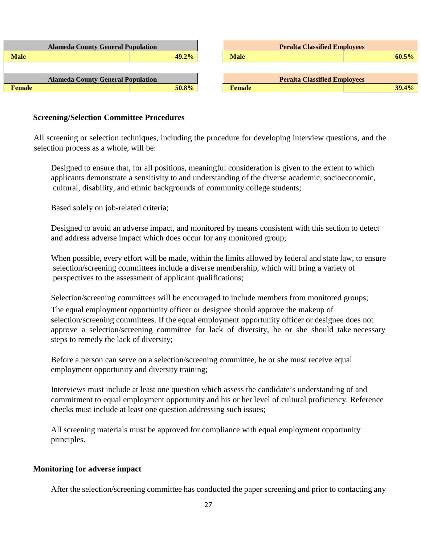| <b>Alameda County General Population</b> |          | <b>Peralta Classified Employees</b> |          |  |  |  |
|------------------------------------------|----------|-------------------------------------|----------|--|--|--|
| <b>Male</b>                              | $49.2\%$ | <b>Male</b>                         | $60.5\%$ |  |  |  |
|                                          |          |                                     |          |  |  |  |
| <b>Alameda County General Population</b> |          | <b>Peralta Classified Employees</b> |          |  |  |  |
| <b>Female</b>                            | 50.8%    | <b>Female</b>                       | 39.4%    |  |  |  |

#### **Screening/Selection Committee Procedures**

All screening or selection techniques, including the procedure for developing interview questions, and the selection process as a whole, will be:

Designed to ensure that, for all positions, meaningful consideration is given to the extent to which applicants demonstrate a sensitivity to and understanding of the diverse academic, socioeconomic, cultural, disability, and ethnic backgrounds of community college students;

Based solely on job-related criteria;

Designed to avoid an adverse impact, and monitored by means consistent with this section to detect and address adverse impact which does occur for any monitored group;

When possible, every effort will be made, within the limits allowed by federal and state law, to ensure selection/screening committees include a diverse membership, which will bring a variety of perspectives to the assessment of applicant qualifications;

Selection/screening committees will be encouraged to include members from monitored groups;

The equal employment opportunity officer or designee should approve the makeup of selection/screening committees. If the equal employment opportunity officer or designee does not approve a selection/screening committee for lack of diversity, he or she should take necessary steps to remedy the lack of diversity;

Before a person can serve on a selection/screening committee, he or she must receive equal employment opportunity and diversity training;

Interviews must include at least one question which assess the candidate's understanding of and commitment to equal employment opportunity and his or her level of cultural proficiency. Reference checks must include at least one question addressing such issues;

All screening materials must be approved for compliance with equal employment opportunity principles.

#### **Monitoring for adverse impact**

After the selection/screening committee has conducted the paper screening and prior to contacting any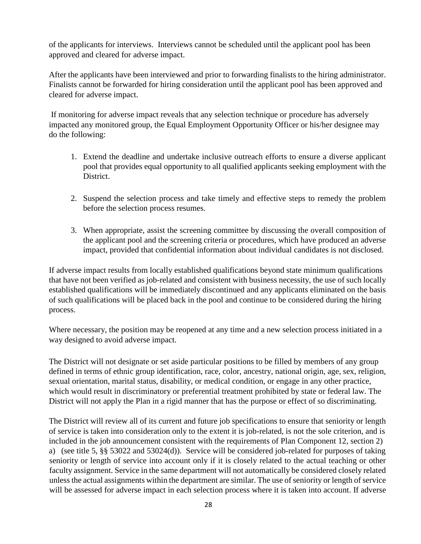of the applicants for interviews. Interviews cannot be scheduled until the applicant pool has been approved and cleared for adverse impact.

After the applicants have been interviewed and prior to forwarding finalists to the hiring administrator. Finalists cannot be forwarded for hiring consideration until the applicant pool has been approved and cleared for adverse impact.

If monitoring for adverse impact reveals that any selection technique or procedure has adversely impacted any monitored group, the Equal Employment Opportunity Officer or his/her designee may do the following:

- 1. Extend the deadline and undertake inclusive outreach efforts to ensure a diverse applicant pool that provides equal opportunity to all qualified applicants seeking employment with the District.
- 2. Suspend the selection process and take timely and effective steps to remedy the problem before the selection process resumes.
- 3. When appropriate, assist the screening committee by discussing the overall composition of the applicant pool and the screening criteria or procedures, which have produced an adverse impact, provided that confidential information about individual candidates is not disclosed.

If adverse impact results from locally established qualifications beyond state minimum qualifications that have not been verified as job-related and consistent with business necessity, the use of such locally established qualifications will be immediately discontinued and any applicants eliminated on the basis of such qualifications will be placed back in the pool and continue to be considered during the hiring process.

Where necessary, the position may be reopened at any time and a new selection process initiated in a way designed to avoid adverse impact.

The District will not designate or set aside particular positions to be filled by members of any group defined in terms of ethnic group identification, race, color, ancestry, national origin, age, sex, religion, sexual orientation, marital status, disability, or medical condition, or engage in any other practice, which would result in discriminatory or preferential treatment prohibited by state or federal law. The District will not apply the Plan in a rigid manner that has the purpose or effect of so discriminating.

The District will review all of its current and future job specifications to ensure that seniority or length of service is taken into consideration only to the extent it is job-related, is not the sole criterion, and is included in the job announcement consistent with the requirements of Plan Component 12, section 2) a) (see title 5, §§ 53022 and 53024(d)). Service will be considered job-related for purposes of taking seniority or length of service into account only if it is closely related to the actual teaching or other faculty assignment. Service in the same department will not automatically be considered closely related unless the actual assignments within the department are similar. The use of seniority or length of service will be assessed for adverse impact in each selection process where it is taken into account. If adverse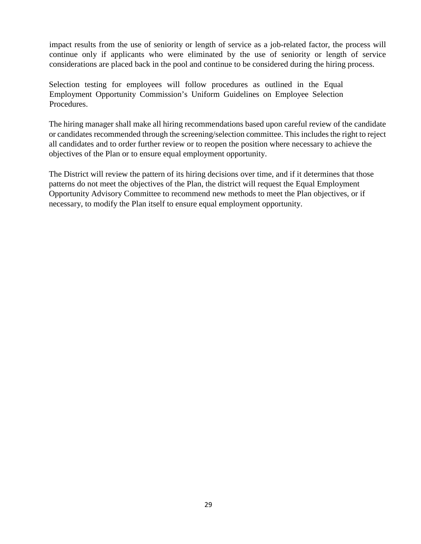impact results from the use of seniority or length of service as a job-related factor, the process will continue only if applicants who were eliminated by the use of seniority or length of service considerations are placed back in the pool and continue to be considered during the hiring process.

Selection testing for employees will follow procedures as outlined in the Equal Employment Opportunity Commission's Uniform Guidelines on Employee Selection Procedures.

The hiring manager shall make all hiring recommendations based upon careful review of the candidate or candidates recommended through the screening/selection committee. This includes the right to reject all candidates and to order further review or to reopen the position where necessary to achieve the objectives of the Plan or to ensure equal employment opportunity.

The District will review the pattern of its hiring decisions over time, and if it determines that those patterns do not meet the objectives of the Plan, the district will request the Equal Employment Opportunity Advisory Committee to recommend new methods to meet the Plan objectives, or if necessary, to modify the Plan itself to ensure equal employment opportunity.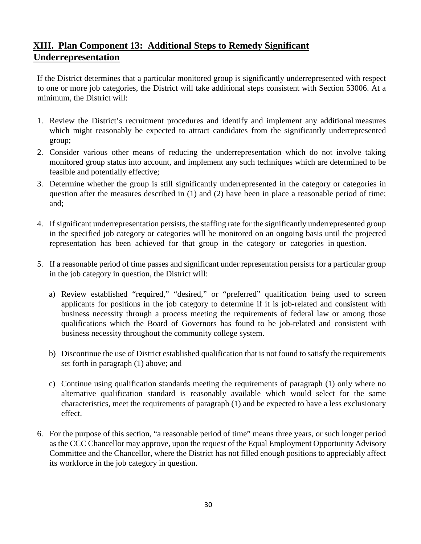# **XIII. Plan Component 13: Additional Steps to Remedy Significant Underrepresentation**

If the District determines that a particular monitored group is significantly underrepresented with respect to one or more job categories, the District will take additional steps consistent with Section 53006. At a minimum, the District will:

- 1. Review the District's recruitment procedures and identify and implement any additional measures which might reasonably be expected to attract candidates from the significantly underrepresented group;
- 2. Consider various other means of reducing the underrepresentation which do not involve taking monitored group status into account, and implement any such techniques which are determined to be feasible and potentially effective;
- 3. Determine whether the group is still significantly underrepresented in the category or categories in question after the measures described in (1) and (2) have been in place a reasonable period of time; and;
- 4. If significant underrepresentation persists, the staffing rate for the significantly underrepresented group in the specified job category or categories will be monitored on an ongoing basis until the projected representation has been achieved for that group in the category or categories in question.
- 5. If a reasonable period of time passes and significant under representation persists for a particular group in the job category in question, the District will:
	- a) Review established "required," "desired," or "preferred" qualification being used to screen applicants for positions in the job category to determine if it is job-related and consistent with business necessity through a process meeting the requirements of federal law or among those qualifications which the Board of Governors has found to be job-related and consistent with business necessity throughout the community college system.
	- b) Discontinue the use of District established qualification that is not found to satisfy the requirements set forth in paragraph (1) above; and
	- c) Continue using qualification standards meeting the requirements of paragraph (1) only where no alternative qualification standard is reasonably available which would select for the same characteristics, meet the requirements of paragraph (1) and be expected to have a less exclusionary effect.
- 6. For the purpose of this section, "a reasonable period of time" means three years, or such longer period as the CCC Chancellor may approve, upon the request of the Equal Employment Opportunity Advisory Committee and the Chancellor, where the District has not filled enough positions to appreciably affect its workforce in the job category in question.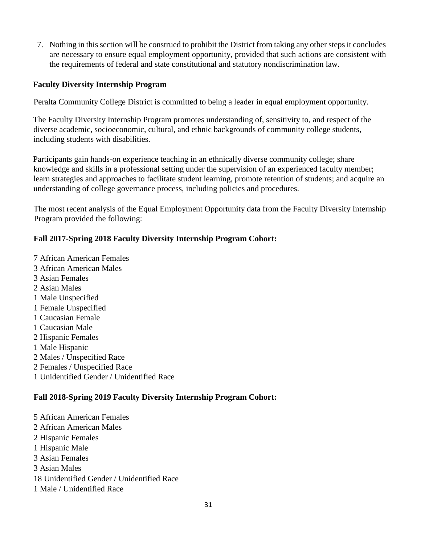7. Nothing in this section will be construed to prohibit the District from taking any other steps it concludes are necessary to ensure equal employment opportunity, provided that such actions are consistent with the requirements of federal and state constitutional and statutory nondiscrimination law.

#### **Faculty Diversity Internship Program**

Peralta Community College District is committed to being a leader in equal employment opportunity.

The Faculty Diversity Internship Program promotes understanding of, sensitivity to, and respect of the diverse academic, socioeconomic, cultural, and ethnic backgrounds of community college students, including students with disabilities.

Participants gain hands-on experience teaching in an ethnically diverse community college; share knowledge and skills in a professional setting under the supervision of an experienced faculty member; learn strategies and approaches to facilitate student learning, promote retention of students; and acquire an understanding of college governance process, including policies and procedures.

The most recent analysis of the Equal Employment Opportunity data from the Faculty Diversity Internship Program provided the following:

## **Fall 2017-Spring 2018 Faculty Diversity Internship Program Cohort:**

7 African American Females 3 African American Males 3 Asian Females 2 Asian Males 1 Male Unspecified 1 Female Unspecified 1 Caucasian Female 1 Caucasian Male 2 Hispanic Females 1 Male Hispanic 2 Males / Unspecified Race 2 Females / Unspecified Race 1 Unidentified Gender / Unidentified Race

# **Fall 2018-Spring 2019 Faculty Diversity Internship Program Cohort:**

5 African American Females 2 African American Males 2 Hispanic Females 1 Hispanic Male 3 Asian Females 3 Asian Males 18 Unidentified Gender / Unidentified Race 1 Male / Unidentified Race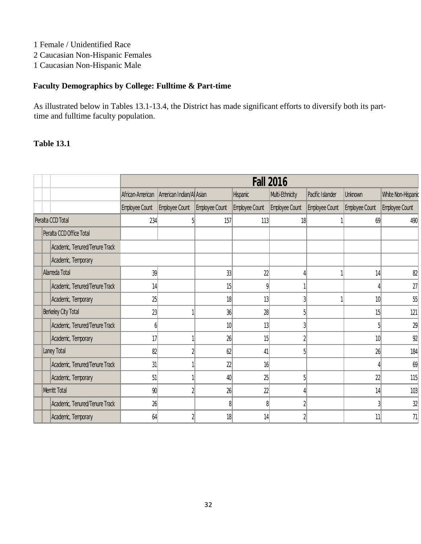1 Female / Unidentified Race

2 Caucasian Non-Hispanic Females

1 Caucasian Non-Hispanic Male

## **Faculty Demographics by College: Fulltime & Part-time**

As illustrated below in Tables 13.1-13.4, the District has made significant efforts to diversify both its parttime and fulltime faculty population.

|                   |  |                                |                  | <b>Fall 2016</b>         |                 |                 |                 |                  |                |                    |
|-------------------|--|--------------------------------|------------------|--------------------------|-----------------|-----------------|-----------------|------------------|----------------|--------------------|
|                   |  |                                | African-American | American Indian/Al Asian |                 | <b>Hispanic</b> | Multi-Ethnicity | Pacific Islander | <b>Unknown</b> | White Non-Hispanic |
|                   |  |                                | Employee Count   | Employee Count           | Employee Count  | Employee Count  | Employee Count  | Employee Count   | Employee Count | Employee Count     |
| Peralta CCD Total |  |                                | 234              |                          | 157             | 113             | 18              |                  | 69             | 490                |
|                   |  | Peralta CCD Office Total       |                  |                          |                 |                 |                 |                  |                |                    |
|                   |  | Academic, Tenured/Tenure Track |                  |                          |                 |                 |                 |                  |                |                    |
|                   |  | Academic, Temporary            |                  |                          |                 |                 |                 |                  |                |                    |
|                   |  | Alameda Total                  | 39               |                          | 33              | 22              |                 |                  | 14             | 82                 |
|                   |  | Academic, Tenured/Tenure Track | 14               |                          | 15              | 9               |                 |                  |                | 27                 |
|                   |  | Academic, Temporary            | 25               |                          | 18              | 13              | 3               |                  | 10             | 55                 |
|                   |  | Berkeley City Total            | 23               |                          | 36              | 28              | 5 <sub>1</sub>  |                  | 15             | 121                |
|                   |  | Academic, Tenured/Tenure Track | h                |                          | 10 <sup>1</sup> | 13              |                 |                  |                | 29                 |
|                   |  | Academic, Temporary            | 17               |                          | 26              | 15              |                 |                  | 10             | 92                 |
|                   |  | Laney Total                    | 82               |                          | 62              | 41              | 5               |                  | 26             | 184                |
|                   |  | Academic, Tenured/Tenure Track | 31               |                          | 22              | 16              |                 |                  |                | 69                 |
|                   |  | Academic, Temporary            | 51               |                          | 40              | 25              | 5 <sup>1</sup>  |                  | 22             | 115                |
|                   |  | Merritt Total                  | 90               |                          | 26              | 22              |                 |                  | 14             | 103                |
|                   |  | Academic, Tenured/Tenure Track | 26               |                          | $\frac{8}{3}$   | 8               | $\overline{2}$  |                  |                | 32                 |
|                   |  | Academic, Temporary            | 64               |                          | 18              | 14              | $\overline{2}$  |                  | 11             | 71                 |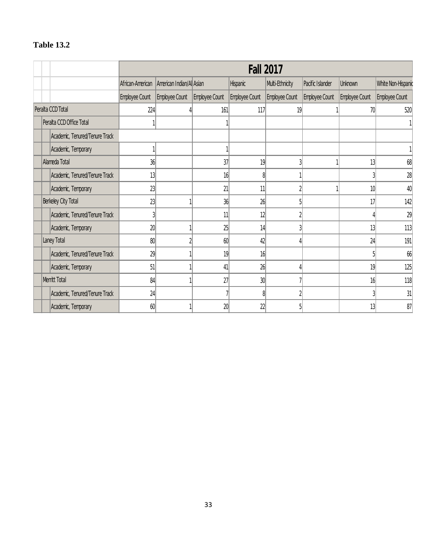|                     |  |                                |                  | <b>Fall 2017</b>         |                |                 |                 |                  |                |                    |
|---------------------|--|--------------------------------|------------------|--------------------------|----------------|-----------------|-----------------|------------------|----------------|--------------------|
|                     |  |                                | African-American | American Indian/Al Asian |                | <b>Hispanic</b> | Multi-Ethnicity | Pacific Islander | Unknown        | White Non-Hispanic |
|                     |  |                                | Employee Count   | Employee Count           | Employee Count | Employee Count  | Employee Count  | Employee Count   | Employee Count | Employee Count     |
| Peralta CCD Total   |  |                                | 224              |                          | 161            | 117             | 19              |                  | 70             | 520                |
|                     |  | Peralta CCD Office Total       |                  |                          |                |                 |                 |                  |                |                    |
|                     |  | Academic, Tenured/Tenure Track |                  |                          |                |                 |                 |                  |                |                    |
|                     |  | Academic, Temporary            |                  |                          |                |                 |                 |                  |                |                    |
|                     |  | Alameda Total                  | 36               |                          | 37             | 19              | 3               |                  | 13             | 68                 |
|                     |  | Academic, Tenured/Tenure Track | 13               |                          | 16             | 8               |                 |                  |                | 28                 |
|                     |  | Academic, Temporary            | 23               |                          | 21             | 11              |                 |                  | 10             | 40                 |
| Berkeley City Total |  |                                | 23               |                          | 36             | 26              | 5               |                  | 17             | 142                |
|                     |  | Academic, Tenured/Tenure Track | 3                |                          | 11             | 12              | 2               |                  |                | 29                 |
|                     |  | Academic, Temporary            | 20               |                          | 25             | 14              |                 |                  | 13             | 113                |
|                     |  | Laney Total                    | 80               |                          | 60             | 42              |                 |                  | 24             | 191                |
|                     |  | Academic, Tenured/Tenure Track | 29               |                          | 19             | 16              |                 |                  |                | 66                 |
|                     |  | Academic, Temporary            | 51               |                          | 41             | 26              |                 |                  | 19             | 125                |
|                     |  | Merritt Total                  | 84               |                          | 27             | 30              |                 |                  | 16             | 118                |
|                     |  | Academic, Tenured/Tenure Track | 24               |                          | 7              | β               |                 |                  |                | 31                 |
|                     |  | Academic, Temporary            | 60               |                          | 20             | 22              | 5               |                  | 13             | 87                 |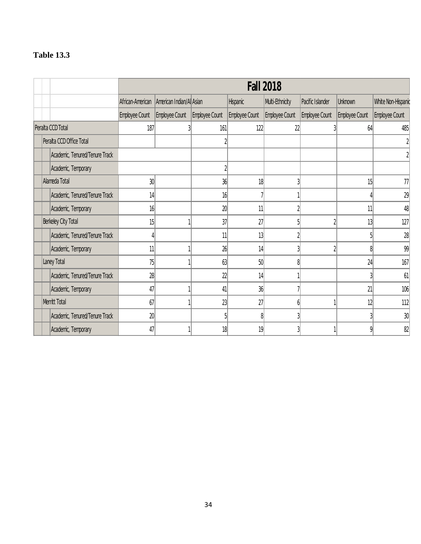|                   |  |                                |                  | <b>Fall 2018</b>         |                |                 |                 |                  |                |                    |
|-------------------|--|--------------------------------|------------------|--------------------------|----------------|-----------------|-----------------|------------------|----------------|--------------------|
|                   |  |                                | African-American | American Indian/Al Asian |                | <b>Hispanic</b> | Multi-Ethnicity | Pacific Islander | Unknown        | White Non-Hispanic |
|                   |  |                                | Employee Count   | Employee Count           | Employee Count | Employee Count  | Employee Count  | Employee Count   | Employee Count | Employee Count     |
| Peralta CCD Total |  |                                | 187              |                          | 161            | 122             | 22              | 3                | 64             | 485                |
|                   |  | Peralta CCD Office Total       |                  |                          |                |                 |                 |                  |                |                    |
|                   |  | Academic, Tenured/Tenure Track |                  |                          |                |                 |                 |                  |                |                    |
|                   |  | Academic, Temporary            |                  |                          | $\overline{2}$ |                 |                 |                  |                |                    |
|                   |  | Alameda Total                  | 30               |                          | 36             | 18              | 3               |                  | 15             | 77                 |
|                   |  | Academic, Tenured/Tenure Track | 14               |                          | 16             |                 |                 |                  |                | 29                 |
|                   |  | Academic, Temporary            | 16               |                          | 20             | 11              | $\overline{2}$  |                  | 11             | 48                 |
|                   |  | Berkeley City Total            | 15               |                          | 37             | 27              | 5               | $\overline{2}$   | 13             | 127                |
|                   |  | Academic, Tenured/Tenure Track |                  |                          | 11             | 13              | $\overline{2}$  |                  |                | 28                 |
|                   |  | Academic, Temporary            | 11               |                          | 26             | 14              | 3 <sup>1</sup>  | $\overline{2}$   | 8              | 99                 |
|                   |  | Laney Total                    | 75               |                          | 63             | 50              | 8               |                  | 24             | 167                |
|                   |  | Academic, Tenured/Tenure Track | 28               |                          | 22             | 14              |                 |                  |                | 61                 |
|                   |  | Academic, Temporary            | 47               |                          | 41             | 36              |                 |                  | 21             | 106                |
|                   |  | Merritt Total                  | 67               |                          | 23             | 27              | b               |                  | 12             | 112                |
|                   |  | Academic, Tenured/Tenure Track | 20               |                          | 5              | 8               | 3               |                  |                | 30                 |
|                   |  | Academic, Temporary            | 47               |                          | 18             | 19              | 3               |                  | n              | 82                 |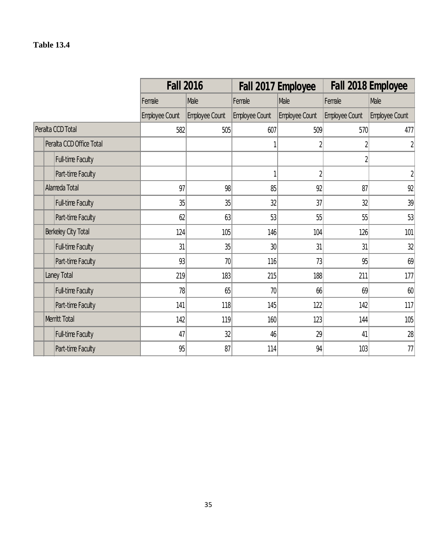|                          | <b>Fall 2016</b> |                |                | Fall 2017 Employee |                | Fall 2018 Employee |
|--------------------------|------------------|----------------|----------------|--------------------|----------------|--------------------|
|                          | Female           | Male           | Female         | Male               | Female         | Male               |
|                          | Employee Count   | Employee Count | Employee Count | Employee Count     | Employee Count | Employee Count     |
| Peralta CCD Total        | 582              | 505            | 607            | 509                | 570            | 477                |
| Peralta CCD Office Total |                  |                |                | $\overline{2}$     | $\sqrt{2}$     | $\overline{2}$     |
| Full-time Faculty        |                  |                |                |                    | $\overline{2}$ |                    |
| Part-time Faculty        |                  |                | 1              | $\overline{2}$     |                | $\overline{2}$     |
| Alameda Total            | 97               | 98             | 85             | 92                 | 87             | 92                 |
| <b>Full-time Faculty</b> | 35               | 35             | 32             | 37                 | 32             | 39                 |
| Part-time Faculty        | 62               | 63             | 53             | 55                 | 55             | 53                 |
| Berkeley City Total      | 124              | 105            | 146            | 104                | 126            | 101                |
| Full-time Faculty        | 31               | 35             | 30             | 31                 | 31             | 32                 |
| Part-time Faculty        | 93               | 70             | 116            | 73                 | 95             | 69                 |
| Laney Total              | 219              | 183            | 215            | 188                | 211            | 177                |
| Full-time Faculty        | 78               | 65             | 70             | 66                 | 69             | 60                 |
| Part-time Faculty        | 141              | 118            | 145            | 122                | 142            | 117                |
| Merritt Total            | 142              | 119            | 160            | 123                | 144            | 105                |
| Full-time Faculty        | 47               | 32             | 46             | 29                 | 41             | 28                 |
| Part-time Faculty        | 95               | 87             | 114            | 94                 | 103            | 77                 |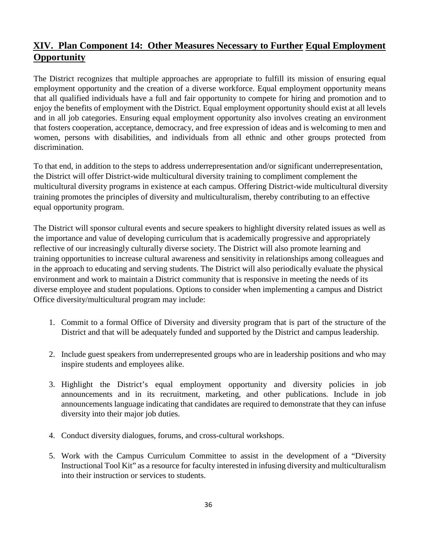# **XIV. Plan Component 14: Other Measures Necessary to Further Equal Employment Opportunity**

The District recognizes that multiple approaches are appropriate to fulfill its mission of ensuring equal employment opportunity and the creation of a diverse workforce. Equal employment opportunity means that all qualified individuals have a full and fair opportunity to compete for hiring and promotion and to enjoy the benefits of employment with the District. Equal employment opportunity should exist at all levels and in all job categories. Ensuring equal employment opportunity also involves creating an environment that fosters cooperation, acceptance, democracy, and free expression of ideas and is welcoming to men and women, persons with disabilities, and individuals from all ethnic and other groups protected from discrimination.

To that end, in addition to the steps to address underrepresentation and/or significant underrepresentation, the District will offer District-wide multicultural diversity training to compliment complement the multicultural diversity programs in existence at each campus. Offering District-wide multicultural diversity training promotes the principles of diversity and multiculturalism, thereby contributing to an effective equal opportunity program.

The District will sponsor cultural events and secure speakers to highlight diversity related issues as well as the importance and value of developing curriculum that is academically progressive and appropriately reflective of our increasingly culturally diverse society. The District will also promote learning and training opportunities to increase cultural awareness and sensitivity in relationships among colleagues and in the approach to educating and serving students. The District will also periodically evaluate the physical environment and work to maintain a District community that is responsive in meeting the needs of its diverse employee and student populations. Options to consider when implementing a campus and District Office diversity/multicultural program may include:

- 1. Commit to a formal Office of Diversity and diversity program that is part of the structure of the District and that will be adequately funded and supported by the District and campus leadership.
- 2. Include guest speakers from underrepresented groups who are in leadership positions and who may inspire students and employees alike.
- 3. Highlight the District's equal employment opportunity and diversity policies in job announcements and in its recruitment, marketing, and other publications. Include in job announcements language indicating that candidates are required to demonstrate that they can infuse diversity into their major job duties.
- 4. Conduct diversity dialogues, forums, and cross-cultural workshops.
- 5. Work with the Campus Curriculum Committee to assist in the development of a "Diversity Instructional Tool Kit" as a resource for faculty interested in infusing diversity and multiculturalism into their instruction or services to students.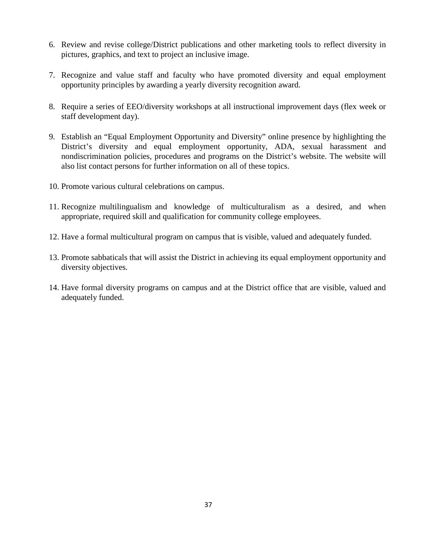- 6. Review and revise college/District publications and other marketing tools to reflect diversity in pictures, graphics, and text to project an inclusive image.
- 7. Recognize and value staff and faculty who have promoted diversity and equal employment opportunity principles by awarding a yearly diversity recognition award.
- 8. Require a series of EEO/diversity workshops at all instructional improvement days (flex week or staff development day).
- 9. Establish an "Equal Employment Opportunity and Diversity" online presence by highlighting the District's diversity and equal employment opportunity, ADA, sexual harassment and nondiscrimination policies, procedures and programs on the District's website. The website will also list contact persons for further information on all of these topics.
- 10. Promote various cultural celebrations on campus.
- 11. Recognize multilingualism and knowledge of multiculturalism as a desired, and when appropriate, required skill and qualification for community college employees.
- 12. Have a formal multicultural program on campus that is visible, valued and adequately funded.
- 13. Promote sabbaticals that will assist the District in achieving its equal employment opportunity and diversity objectives.
- 14. Have formal diversity programs on campus and at the District office that are visible, valued and adequately funded.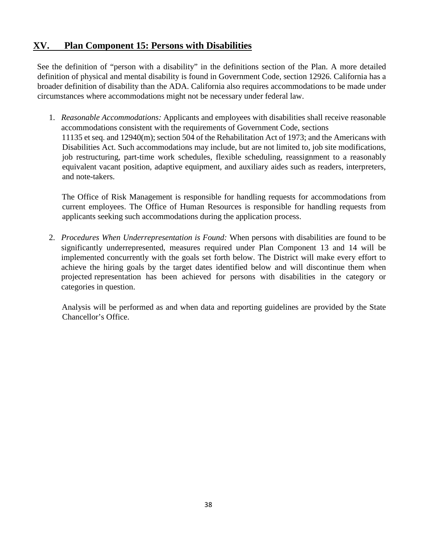# **XV. Plan Component 15: Persons with Disabilities**

See the definition of "person with a disability" in the definitions section of the Plan. A more detailed definition of physical and mental disability is found in Government Code, section 12926. California has a broader definition of disability than the ADA. California also requires accommodations to be made under circumstances where accommodations might not be necessary under federal law.

1. *Reasonable Accommodations:* Applicants and employees with disabilities shall receive reasonable accommodations consistent with the requirements of Government Code, sections 11135 et seq. and 12940(m); section 504 of the Rehabilitation Act of 1973; and the Americans with Disabilities Act. Such accommodations may include, but are not limited to, job site modifications, job restructuring, part-time work schedules, flexible scheduling, reassignment to a reasonably equivalent vacant position, adaptive equipment, and auxiliary aides such as readers, interpreters, and note-takers.

The Office of Risk Management is responsible for handling requests for accommodations from current employees. The Office of Human Resources is responsible for handling requests from applicants seeking such accommodations during the application process.

2. *Procedures When Underrepresentation is Found:* When persons with disabilities are found to be significantly underrepresented, measures required under Plan Component 13 and 14 will be implemented concurrently with the goals set forth below. The District will make every effort to achieve the hiring goals by the target dates identified below and will discontinue them when projected representation has been achieved for persons with disabilities in the category or categories in question.

Analysis will be performed as and when data and reporting guidelines are provided by the State Chancellor's Office.